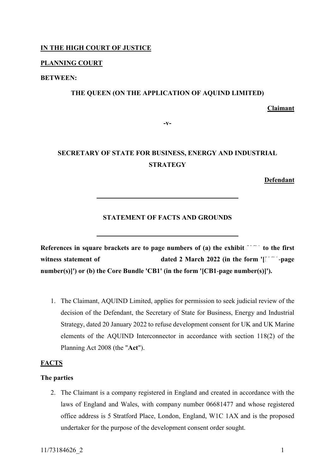## **IN THE HIGH COURT OF JUSTICE**

## **PLANNING COURT**

## **BETWEEN:**

## **THE QUEEN (ON THE APPLICATION OF AQUIND LIMITED)**

## **Claimant**

**-v-**

# **SECRETARY OF STATE FOR BUSINESS, ENERGY AND INDUSTRIAL STRATEGY**

**Defendant**

## **STATEMENT OF FACTS AND GROUNDS**

References in square brackets are to page numbers of (a) the exhibit  $\tilde{C}$  to the first **witness statement of dated 2 March 2022 (in the form '[KG1]-page number(s)]') or (b) the Core Bundle 'CB1' (in the form '[CB1**-**page number(s)]').** 

1. The Claimant, AQUIND Limited, applies for permission to seek judicial review of the decision of the Defendant, the Secretary of State for Business, Energy and Industrial Strategy, dated 20 January 2022 to refuse development consent for UK and UK Marine elements of the AQUIND Interconnector in accordance with section 118(2) of the Planning Act 2008 (the "**Act**").

#### **FACTS**

#### **The parties**

2. The Claimant is a company registered in England and created in accordance with the laws of England and Wales, with company number 06681477 and whose registered office address is 5 Stratford Place, London, England, W1C 1AX and is the proposed undertaker for the purpose of the development consent order sought.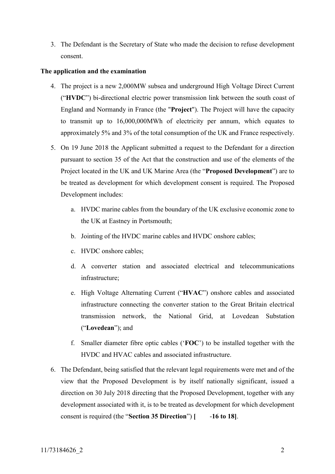3. The Defendant is the Secretary of State who made the decision to refuse development consent.

## **The application and the examination**

- 4. The project is a new 2,000MW subsea and underground High Voltage Direct Current ("**HVDC**") bi-directional electric power transmission link between the south coast of England and Normandy in France (the "**Project**"). The Project will have the capacity to transmit up to 16,000,000MWh of electricity per annum, which equates to approximately 5% and 3% of the total consumption of the UK and France respectively.
- 5. On 19 June 2018 the Applicant submitted a request to the Defendant for a direction pursuant to section 35 of the Act that the construction and use of the elements of the Project located in the UK and UK Marine Area (the "**Proposed Development**") are to be treated as development for which development consent is required. The Proposed Development includes:
	- a. HVDC marine cables from the boundary of the UK exclusive economic zone to the UK at Eastney in Portsmouth;
	- b. Jointing of the HVDC marine cables and HVDC onshore cables;
	- c. HVDC onshore cables;
	- d. A converter station and associated electrical and telecommunications infrastructure;
	- e. High Voltage Alternating Current ("**HVAC**") onshore cables and associated infrastructure connecting the converter station to the Great Britain electrical transmission network, the National Grid, at Lovedean Substation ("**Lovedean**"); and
	- f. Smaller diameter fibre optic cables ('**FOC**') to be installed together with the HVDC and HVAC cables and associated infrastructure.
- 6. The Defendant, being satisfied that the relevant legal requirements were met and of the view that the Proposed Development is by itself nationally significant, issued a direction on 30 July 2018 directing that the Proposed Development, together with any development associated with it, is to be treated as development for which development consent is required (the "**Section 35 Direction**") [46 **18**].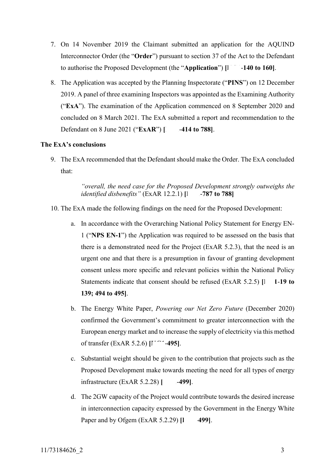- 7. On 14 November 2019 the Claimant submitted an application for the AQUIND Interconnector Order (the "**Order**") pursuant to section 37 of the Act to the Defendant to authorise the Proposed Development (the "Application")  $\begin{bmatrix} 1 \\ -140 \text{ to } 160 \end{bmatrix}$ .
- 8. The Application was accepted by the Planning Inspectorate ("**PINS**") on 12 December 2019. A panel of three examining Inspectors was appointed as the Examining Authority ("**ExA**"). The examination of the Application commenced on 8 September 2020 and concluded on 8 March 2021. The ExA submitted a report and recommendation to the Defendant on 8 June 2021 ("**ExAR**") [1 -414 to 788].

## **The ExA's conclusions**

9. The ExA recommended that the Defendant should make the Order. The ExA concluded that:

> *"overall, the need case for the Proposed Development strongly outweighs the identified disbenefits*" (ExAR 12.2.1) [*COLLECT 1881* 1388]

- 10. The ExA made the following findings on the need for the Proposed Development:
	- a. In accordance with the Overarching National Policy Statement for Energy EN-1 ("**NPS EN-1**") the Application was required to be assessed on the basis that there is a demonstrated need for the Project (ExAR 5.2.3), that the need is an urgent one and that there is a presumption in favour of granting development consent unless more specific and relevant policies within the National Policy Statements indicate that consent should be refused (ExAR  $5.2.5$ )  $\left[ \right]$  **1-19 to 139; 494 to 495]**.
	- b. The Energy White Paper, *Powering our Net Zero Future* (December 2020) confirmed the Government's commitment to greater interconnection with the European energy market and to increase the supply of electricity via this method of transfer (ExAR 5.2.6)  $\begin{bmatrix} 1 \\ -495 \end{bmatrix}$ .
	- c. Substantial weight should be given to the contribution that projects such as the Proposed Development make towards meeting the need for all types of energy infrastructure (ExAR 5.2.28) **[KG1**-**499]**.
	- d. The 2GW capacity of the Project would contribute towards the desired increase in interconnection capacity expressed by the Government in the Energy White Paper and by Ofgem  $(ExAR 5.2.29)$   $[1 - 499]$ .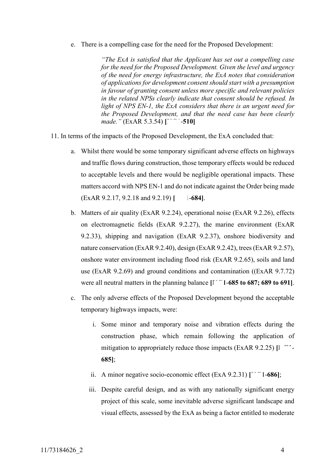e. There is a compelling case for the need for the Proposed Development:

*"The ExA is satisfied that the Applicant has set out a compelling case for the need for the Proposed Development. Given the level and urgency of the need for energy infrastructure, the ExA notes that consideration of applications for development consent should start with a presumption in favour of granting consent unless more specific and relevant policies in the related NPSs clearly indicate that consent should be refused. In light of NPS EN-1, the ExA considers that there is an urgent need for the Proposed Development, and that the need case has been clearly made.*" (ExAR 5.3.54) [ -510]

- 11. In terms of the impacts of the Proposed Development, the ExA concluded that:
	- a. Whilst there would be some temporary significant adverse effects on highways and traffic flows during construction, those temporary effects would be reduced to acceptable levels and there would be negligible operational impacts. These matters accord with NPS EN-1 and do not indicate against the Order being made (ExAR 9.2.17, 9.2.18 and 9.2.19) [ [Allend-684].
	- b. Matters of air quality (ExAR 9.2.24), operational noise (ExAR 9.2.26), effects on electromagnetic fields (ExAR 9.2.27), the marine environment (ExAR 9.2.33), shipping and navigation (ExAR 9.2.37), onshore biodiversity and nature conservation (ExAR 9.2.40), design (ExAR 9.2.42), trees (ExAR 9.2.57), onshore water environment including flood risk (ExAR 9.2.65), soils and land use (ExAR 9.2.69) and ground conditions and contamination ((ExAR 9.7.72) were all neutral matters in the planning balance  $\begin{bmatrix} 1 \end{bmatrix}$  1-685 to 687; 689 to 691].
	- c. The only adverse effects of the Proposed Development beyond the acceptable temporary highways impacts, were:
		- i. Some minor and temporary noise and vibration effects during the construction phase, which remain following the application of mitigation to appropriately reduce those impacts (ExAR 9.2.25)  $\left[ \right]$ **685]**;
		- ii. A minor negative socio-economic effect  $(ExA 9.2.31)$   $\lceil \cdot \cdot \cdot \cdot 1.686 \rceil$ ;
		- iii. Despite careful design, and as with any nationally significant energy project of this scale, some inevitable adverse significant landscape and visual effects, assessed by the ExA as being a factor entitled to moderate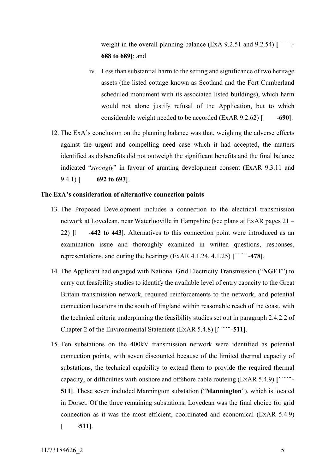weight in the overall planning balance (ExA 9.2.51 and 9.2.54) [ **688 to 689]**; and

- iv. Less than substantial harm to the setting and significance of two heritage assets (the listed cottage known as Scotland and the Fort Cumberland scheduled monument with its associated listed buildings), which harm would not alone justify refusal of the Application, but to which considerable weight needed to be accorded (ExAR 9.2.62) [690].
- 12. The ExA's conclusion on the planning balance was that, weighing the adverse effects against the urgent and compelling need case which it had accepted, the matters identified as disbenefits did not outweigh the significant benefits and the final balance indicated "*strongly*" in favour of granting development consent (ExAR 9.3.11 and 9.4.1) **[KG1**-**692 to 693]**.

## **The ExA's consideration of alternative connection points**

- 13. The Proposed Development includes a connection to the electrical transmission network at Lovedean, near Waterlooville in Hampshire (see plans at ExAR pages 21 – 22)  $\lceil \cdot \cdot \cdot \cdot \rceil$  **-442 to 443**. Alternatives to this connection point were introduced as an examination issue and thoroughly examined in written questions, responses, representations, and during the hearings  $(ExAR 4.1.24, 4.1.25)$   $\lceil \ \ -478 \rceil$ .
- 14. The Applicant had engaged with National Grid Electricity Transmission ("**NGET**") to carry out feasibility studies to identify the available level of entry capacity to the Great Britain transmission network, required reinforcements to the network, and potential connection locations in the south of England within reasonable reach of the coast, with the technical criteria underpinning the feasibility studies set out in paragraph 2.4.2.2 of Chapter 2 of the Environmental Statement (ExAR 5.4.8)  $\left[\begin{matrix} 1 \\ 2 \end{matrix}\right]$ .
- 15. Ten substations on the 400kV transmission network were identified as potential connection points, with seven discounted because of the limited thermal capacity of substations, the technical capability to extend them to provide the required thermal capacity, or difficulties with onshore and offshore cable routeing (ExAR 5.4.9)  $\Gamma$ <sup>*n*-1</sup> **511]**. These seven included Mannington substation ("**Mannington**"), which is located in Dorset. Of the three remaining substations, Lovedean was the final choice for grid connection as it was the most efficient, coordinated and economical (ExAR 5.4.9)
	- **[KG1**-**511]**.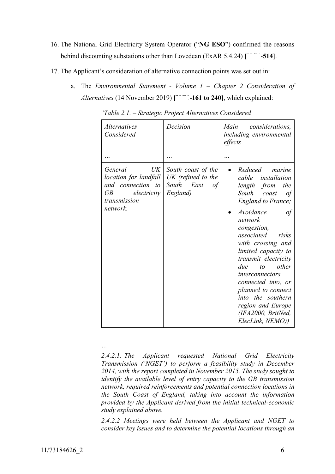- 16. The National Grid Electricity System Operator ("**NG ESO**") confirmed the reasons behind discounting substations other than Lovedean (ExAR 5.4.24)  $\lceil \cdot \cdot \cdot \cdot -514 \rceil$ .
- <span id="page-5-0"></span>17. The Applicant's consideration of alternative connection points was set out in:
	- a. The *Environmental Statement - Volume 1 – Chapter 2 Consideration of Alternatives* (14 November 2019)  $\begin{bmatrix} -161 & 16 & 240 \\ 0 & 0 & 240 \end{bmatrix}$ , which explained:

| <i>Alternatives</i><br>Considered                                                                                         | Decision                                                                 | Main<br>considerations,<br>including environmental<br>effects                                                                                                                                                                                                                                                                                                                                                                         |
|---------------------------------------------------------------------------------------------------------------------------|--------------------------------------------------------------------------|---------------------------------------------------------------------------------------------------------------------------------------------------------------------------------------------------------------------------------------------------------------------------------------------------------------------------------------------------------------------------------------------------------------------------------------|
|                                                                                                                           |                                                                          |                                                                                                                                                                                                                                                                                                                                                                                                                                       |
| UK<br>General<br>location for landfall<br>and connection to<br>$\overline{GB}$<br>electricity<br>transmission<br>network. | South coast of the<br>UK (refined to the<br>South East<br>of<br>England) | Reduced<br>marine<br>cable installation<br>length from<br>the<br>South coast<br>οf<br><b>England to France;</b><br>Avoidance<br>οf<br>network<br>congestion,<br>associated<br>risks<br>with crossing and<br>limited capacity to<br>transmit electricity<br>other<br>due<br>$\iota$<br>interconnectors<br>connected into, or<br>planned to connect<br>into the southern<br>region and Europe<br>(IFA2000, BritNed,<br>ElecLink, NEMO)) |

"*Table 2.1. – Strategic Project Alternatives Considered* 

*…*

*2.4.2.1. The Applicant requested National Grid Electricity Transmission ('NGET') to perform a feasibility study in December 2014, with the report completed in November 2015. The study sought to identify the available level of entry capacity to the GB transmission network, required reinforcements and potential connection locations in the South Coast of England, taking into account the information provided by the Applicant derived from the initial technical-economic study explained above.*

*2.4.2.2 Meetings were held between the Applicant and NGET to consider key issues and to determine the potential locations through an*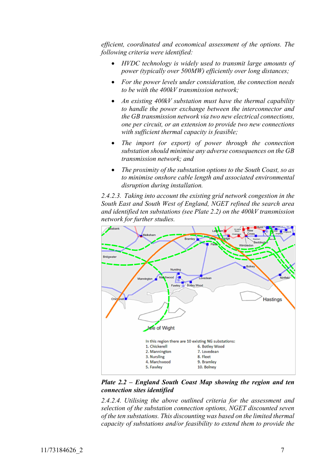*efficient, coordinated and economical assessment of the options. The following criteria were identified:*

- *HVDC technology is widely used to transmit large amounts of power (typically over 500MW) efficiently over long distances;*
- *For the power levels under consideration, the connection needs to be with the 400kV transmission network;*
- *An existing 400kV substation must have the thermal capability to handle the power exchange between the interconnector and the GB transmission network via two new electrical connections, one per circuit, or an extension to provide two new connections with sufficient thermal capacity is feasible;*
- *The import (or export) of power through the connection substation should minimise any adverse consequences on the GB transmission network; and*
- *The proximity of the substation options to the South Coast, so as to minimise onshore cable length and associated environmental disruption during installation.*

*2.4.2.3. Taking into account the existing grid network congestion in the South East and South West of England, NGET refined the search area and identified ten substations (see Plate 2.2) on the 400kV transmission network for further studies.* 



*Plate 2.2 – England South Coast Map showing the region and ten connection sites identified*

*2.4.2.4. Utilising the above outlined criteria for the assessment and selection of the substation connection options, NGET discounted seven of the ten substations. This discounting was based on the limited thermal capacity of substations and/or feasibility to extend them to provide the*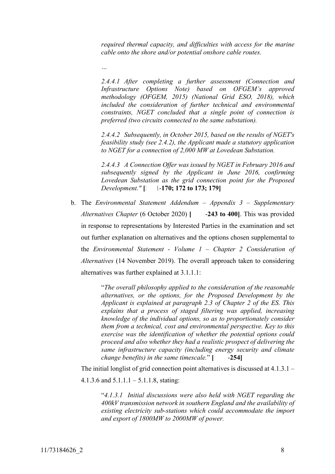*required thermal capacity, and difficulties with access for the marine cable onto the shore and/or potential onshore cable routes.*

*2.4.4.1 After completing a further assessment (Connection and Infrastructure Options Note) based on OFGEM's approved methodology (OFGEM, 2015) (National Grid ESO, 2018), which included the consideration of further technical and environmental constraints, NGET concluded that a single point of connection is preferred (two circuits connected to the same substation).*

*2.4.4.2 Subsequently, in October 2015, based on the results of NGET's feasibility study (see 2.4.2), the Applicant made a statutory application to NGET for a connection of 2,000 MW at Lovedean Substation.*

*2.4.4.3 A Connection Offer was issued by NGET in February 2016 and subsequently signed by the Applicant in June 2016, confirming Lovedean Substation as the grid connection point for the Proposed Development.*"  $\begin{bmatrix} 1 \\ 1 \end{bmatrix}$  **170; 172 to 173; 179** 

b. The *Environmental Statement Addendum – Appendix 3 – Supplementary Alternatives Chapter* (6 October 2020) **[4611-243 to 400]**. This was provided in response to representations by Interested Parties in the examination and set out further explanation on alternatives and the options chosen supplemental to the *Environmental Statement - Volume 1 – Chapter 2 Consideration of Alternatives* (14 November 2019). The overall approach taken to considering alternatives was further explained at 3.1.1.1:

> "*The overall philosophy applied to the consideration of the reasonable alternatives, or the options, for the Proposed Development by the Applicant is explained at paragraph 2.3 of Chapter 2 of the ES. This explains that a process of staged filtering was applied, increasing knowledge of the individual options, so as to proportionately consider them from a technical, cost and environmental perspective. Key to this exercise was the identification of whether the potential options could proceed and also whether they had a realistic prospect of delivering the same infrastructure capacity (including energy security and climate change benefits) in the same timescale.*"  $[$  -254]

The initial longlist of grid connection point alternatives is discussed at 4.1.3.1 –

4.1.3.6 and 5.1.1.1 – 5.1.1.8, stating:

*…*

"*4.1.3.1 Initial discussions were also held with NGET regarding the 400kV transmission network in southern England and the availability of existing electricity sub-stations which could accommodate the import and export of 1800MW to 2000MW of power.*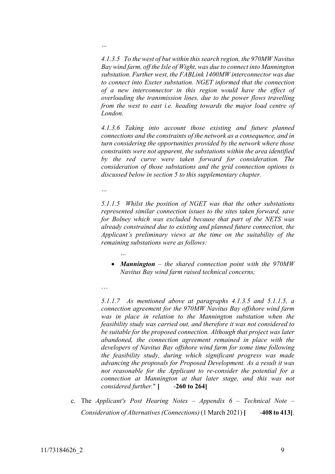*4.1.3.5 To the west of but within this search region, the 970MW Navitus Bay wind farm, off the Isle of Wight, was due to connect into Mannington substation. Further west, the FABLink 1400MW interconnector was due to connect into Exeter substation. NGET informed that the connection of a new interconnector in this region would have the effect of overloading the transmission lines, due to the power flows travelling from the west to east i.e. heading towards the major load centre of London.* 

*4.1.3.6 Taking into account those existing and future planned connections and the constraints of the network as a consequence, and in turn considering the opportunities provided by the network where those constraints were not apparent, the substations within the area identified by the red curve were taken forward for consideration. The consideration of those substations and the grid connection options is discussed below in section 5 to this supplementary chapter.*

*…*

*…*

*5.1.1.5 Whilst the position of NGET was that the other substations represented similar connection issues to the sites taken forward, save for Bolney which was excluded because that part of the NETS was already constrained due to existing and planned future connection, the Applicant's preliminary views at the time on the suitability of the remaining substations were as follows:*

- *Mannington – the shared connection point with the 970MW Navitus Bay wind farm raised technical concerns;*
- …

*…*

*5.1.1.7 As mentioned above at paragraphs 4.1.3.5 and 5.1.1.5, a connection agreement for the 970MW Navitus Bay offshore wind farm was in place in relation to the Mannington substation when the feasibility study was carried out, and therefore it was not considered to be suitable for the proposed connection. Although that project was later abandoned, the connection agreement remained in place with the developers of Navitus Bay offshore wind farm for some time following the feasibility study, during which significant progress was made advancing the proposals for Proposed Development. As a result it was not reasonable for the Applicant to re-consider the potential for a connection at Mannington at that later stage, and this was not considered further.*"  $\lceil \cdot \cdot \cdot \cdot \cdot \cdot \rceil$  -260 to 264]

c. The *Applicant's Post Hearing Notes – Appendix 6 – Technical Note – Consideration of Alternatives (Connections)* (1 March 2021) [408 to 413].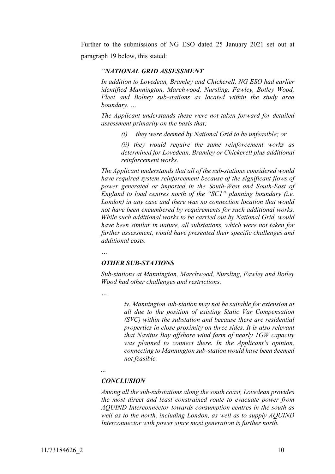Further to the submissions of NG ESO dated 25 January 2021 set out at paragraph 19 below, this stated:

## *"NATIONAL GRID ASSESSMENT*

*In addition to Lovedean, Bramley and Chickerell, NG ESO had earlier identified Mannington, Marchwood, Nursling, Fawley, Botley Wood, Fleet and Bolney sub-stations as located within the study area boundary. …*

*The Applicant understands these were not taken forward for detailed assessment primarily on the basis that;*

*(i) they were deemed by National Grid to be unfeasible; or* 

*(ii) they would require the same reinforcement works as determined for Lovedean, Bramley or Chickerell plus additional reinforcement works.*

*The Applicant understands that all of the sub-stations considered would have required system reinforcement because of the significant flows of power generated or imported in the South-West and South-East of England to load centres north of the "SC1" planning boundary (i.e. London) in any case and there was no connection location that would not have been encumbered by requirements for such additional works. While such additional works to be carried out by National Grid, would have been similar in nature, all substations, which were not taken for further assessment, would have presented their specific challenges and additional costs.*

…

#### *OTHER SUB-STATIONS*

*Sub-stations at Mannington, Marchwood, Nursling, Fawley and Botley Wood had other challenges and restrictions:*

*…*

*iv. Mannington sub-station may not be suitable for extension at all due to the position of existing Static Var Compensation (SVC) within the substation and because there are residential properties in close proximity on three sides. It is also relevant that Navitus Bay offshore wind farm of nearly 1GW capacity was planned to connect there. In the Applicant's opinion, connecting to Mannington sub-station would have been deemed not feasible.*

## *…*

### *CONCLUSION*

*Among all the sub-substations along the south coast, Lovedean provides the most direct and least constrained route to evacuate power from AQUIND Interconnector towards consumption centres in the south as*  well as to the north, including London, as well as to supply AQUIND *Interconnector with power since most generation is further north.*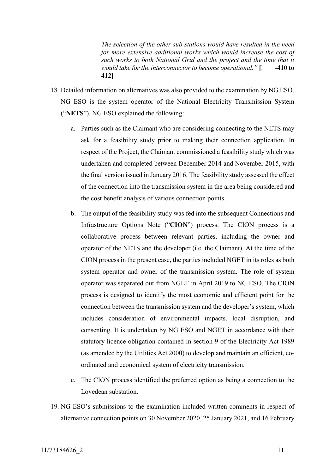*The selection of the other sub-stations would have resulted in the need*  for more extensive additional works which would increase the cost of *such works to both National Grid and the project and the time that it would take for the interconnector to become operational.*" [Allequarrow-410 **to 412]**

- 18. Detailed information on alternatives was also provided to the examination by NG ESO. NG ESO is the system operator of the National Electricity Transmission System ("**NETS**"). NG ESO explained the following:
	- a. Parties such as the Claimant who are considering connecting to the NETS may ask for a feasibility study prior to making their connection application. In respect of the Project, the Claimant commissioned a feasibility study which was undertaken and completed between December 2014 and November 2015, with the final version issued in January 2016. The feasibility study assessed the effect of the connection into the transmission system in the area being considered and the cost benefit analysis of various connection points.
	- b. The output of the feasibility study was fed into the subsequent Connections and Infrastructure Options Note ("**CION**") process. The CION process is a collaborative process between relevant parties, including the owner and operator of the NETS and the developer (i.e. the Claimant). At the time of the CION process in the present case, the parties included NGET in its roles as both system operator and owner of the transmission system. The role of system operator was separated out from NGET in April 2019 to NG ESO. The CION process is designed to identify the most economic and efficient point for the connection between the transmission system and the developer's system, which includes consideration of environmental impacts, local disruption, and consenting. It is undertaken by NG ESO and NGET in accordance with their statutory licence obligation contained in section 9 of the Electricity Act 1989 (as amended by the Utilities Act 2000) to develop and maintain an efficient, coordinated and economical system of electricity transmission.
	- c. The CION process identified the preferred option as being a connection to the Lovedean substation.
- <span id="page-10-0"></span>19. NG ESO's submissions to the examination included written comments in respect of alternative connection points on 30 November 2020, 25 January 2021, and 16 February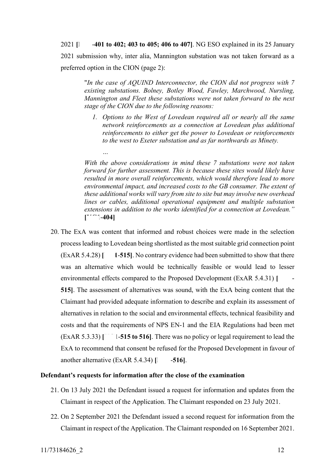2021 **[KG1**-**401 to 402; 403 to 405; 406 to 407]**. NG ESO explained in its 25 January 2021 submission why, inter alia, Mannington substation was not taken forward as a preferred option in the CION (page 2):

"*In the case of AQUIND Interconnector, the CION did not progress with 7 existing substations. Bolney, Botley Wood, Fawley, Marchwood, Nursling, Mannington and Fleet these substations were not taken forward to the next stage of the CION due to the following reasons:*

*1. Options to the West of Lovedean required all or nearly all the same network reinforcements as a connection at Lovedean plus additional reinforcements to either get the power to Lovedean or reinforcements to the west to Exeter substation and as far northwards as Minety.*

*With the above considerations in mind these 7 substations were not taken forward for further assessment. This is because these sites would likely have resulted in more overall reinforcements, which would therefore lead to more environmental impact, and increased costs to the GB consumer. The extent of these additional works will vary from site to site but may involve new overhead lines or cables, additional operational equipment and multiple substation extensions in addition to the works identified for a connection at Lovedean."*  $\lbrack 1 - 404 \rbrack$ 

20. The ExA was content that informed and robust choices were made in the selection process leading to Lovedean being shortlisted as the most suitable grid connection point  $(ExAR 5.4.28)$   $\lceil \cdot 1-515 \rceil$ . No contrary evidence had been submitted to show that there was an alternative which would be technically feasible or would lead to lesser environmental effects compared to the Proposed Development (ExAR 5.4.31) [ **515]**. The assessment of alternatives was sound, with the ExA being content that the Claimant had provided adequate information to describe and explain its assessment of alternatives in relation to the social and environmental effects, technical feasibility and costs and that the requirements of NPS EN-1 and the EIA Regulations had been met (ExAR 5.3.33) **[KGU41-515 to 516]**. There was no policy or legal requirement to lead the ExA to recommend that consent be refused for the Proposed Development in favour of another alternative  $(ExAR 5.4.34)$   $\begin{bmatrix} \end{bmatrix}$  -516].

## **Defendant's requests for information after the close of the examination**

*…*

- 21. On 13 July 2021 the Defendant issued a request for information and updates from the Claimant in respect of the Application. The Claimant responded on 23 July 2021.
- 22. On 2 September 2021 the Defendant issued a second request for information from the Claimant in respect of the Application. The Claimant responded on 16 September 2021.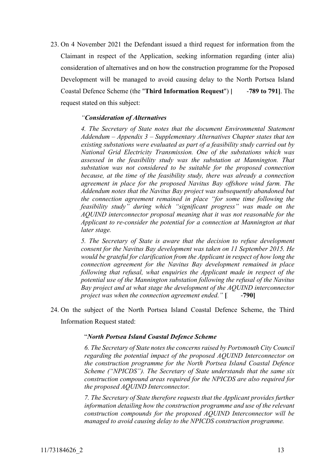<span id="page-12-0"></span>23. On 4 November 2021 the Defendant issued a third request for information from the Claimant in respect of the Application, seeking information regarding (inter alia) consideration of alternatives and on how the construction programme for the Proposed Development will be managed to avoid causing delay to the North Portsea Island Coastal Defence Scheme (the "**Third Information Request**") | -789 to 791]. The request stated on this subject:

## *"Consideration of Alternatives*

*4. The Secretary of State notes that the document Environmental Statement Addendum – Appendix 3 – Supplementary Alternatives Chapter states that ten existing substations were evaluated as part of a feasibility study carried out by National Grid Electricity Transmission. One of the substations which was assessed in the feasibility study was the substation at Mannington. That substation was not considered to be suitable for the proposed connection because, at the time of the feasibility study, there was already a connection agreement in place for the proposed Navitus Bay offshore wind farm. The Addendum notes that the Navitus Bay project was subsequently abandoned but the connection agreement remained in place "for some time following the feasibility study" during which "significant progress" was made on the AQUIND interconnector proposal meaning that it was not reasonable for the Applicant to re-consider the potential for a connection at Mannington at that later stage.*

*5. The Secretary of State is aware that the decision to refuse development consent for the Navitus Bay development was taken on 11 September 2015. He would be grateful for clarification from the Applicant in respect of how long the connection agreement for the Navitus Bay development remained in place following that refusal, what enquiries the Applicant made in respect of the potential use of the Mannington substation following the refusal of the Navitus Bay project and at what stage the development of the AQUIND interconnector project was when the connection agreement ended.*" [Alternative *noint 190]* 

24. On the subject of the North Portsea Island Coastal Defence Scheme, the Third Information Request stated:

#### "*North Portsea Island Coastal Defence Scheme*

*6. The Secretary of State notes the concerns raised by Portsmouth City Council regarding the potential impact of the proposed AQUIND Interconnector on the construction programme for the North Portsea Island Coastal Defence Scheme ("NPICDS"). The Secretary of State understands that the same six construction compound areas required for the NPICDS are also required for the proposed AQUIND Interconnector.* 

*7. The Secretary of State therefore requests that the Applicant provides further information detailing how the construction programme and use of the relevant construction compounds for the proposed AQUIND Interconnector will be managed to avoid causing delay to the NPICDS construction programme.*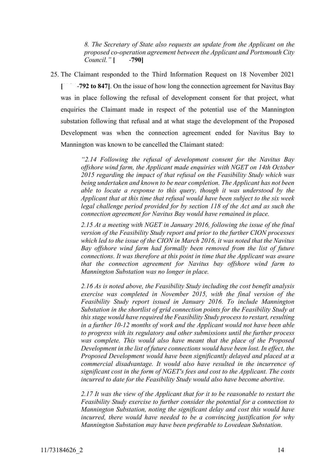*8. The Secretary of State also requests an update from the Applicant on the proposed co-operation agreement between the Applicant and Portsmouth City Council.*" [46-790]

25. The Claimant responded to the Third Information Request on 18 November 2021 **-792 to 847].** On the issue of how long the connection agreement for Navitus Bay was in place following the refusal of development consent for that project, what enquiries the Claimant made in respect of the potential use of the Mannington substation following that refusal and at what stage the development of the Proposed Development was when the connection agreement ended for Navitus Bay to Mannington was known to be cancelled the Claimant stated:

> *"2.14 Following the refusal of development consent for the Navitus Bay offshore wind farm, the Applicant made enquiries with NGET on 14th October 2015 regarding the impact of that refusal on the Feasibility Study which was being undertaken and known to be near completion. The Applicant has not been able to locate a response to this query, though it was understood by the Applicant that at this time that refusal would have been subject to the six week legal challenge period provided for by section 118 of the Act and as such the connection agreement for Navitus Bay would have remained in place.*

> *2.15 At a meeting with NGET in January 2016, following the issue of the final version of the Feasibility Study report and prior to the further CION processes which led to the issue of the CION in March 2016, it was noted that the Navitus Bay offshore wind farm had formally been removed from the list of future connections. It was therefore at this point in time that the Applicant was aware that the connection agreement for Navitus bay offshore wind farm to Mannington Substation was no longer in place.*

> *2.16 As is noted above, the Feasibility Study including the cost benefit analysis exercise was completed in November 2015, with the final version of the Feasibility Study report issued in January 2016. To include Mannington Substation in the shortlist of grid connection points for the Feasibility Study at this stage would have required the Feasibility Study process to restart, resulting in a further 10-12 months of work and the Applicant would not have been able to progress with its regulatory and other submissions until the further process was complete. This would also have meant that the place of the Proposed Development in the list of future connections would have been lost. In effect, the Proposed Development would have been significantly delayed and placed at a commercial disadvantage. It would also have resulted in the incurrence of significant cost in the form of NGET's fees and cost to the Applicant. The costs incurred to date for the Feasibility Study would also have become abortive.*

> *2.17 It was the view of the Applicant that for it to be reasonable to restart the Feasibility Study exercise to further consider the potential for a connection to Mannington Substation, noting the significant delay and cost this would have incurred, there would have needed to be a convincing justification for why Mannington Substation may have been preferable to Lovedean Substation.*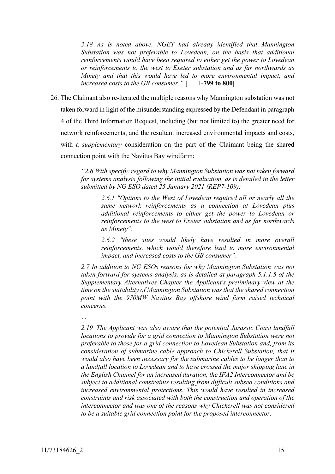*2.18 As is noted above, NGET had already identified that Mannington Substation was not preferable to Lovedean, on the basis that additional reinforcements would have been required to either get the power to Lovedean or reinforcements to the west to Exeter substation and as far northwards as Minety and that this would have led to more environmental impact, and increased costs to the GB consumer.*" $[]$  [-799 to 800]

<span id="page-14-0"></span>26. The Claimant also re-iterated the multiple reasons why Mannington substation was not taken forward in light of the misunderstanding expressed by the Defendant in paragraph 4 of the Third Information Request, including (but not limited to) the greater need for network reinforcements, and the resultant increased environmental impacts and costs, with a *supplementary* consideration on the part of the Claimant being the shared connection point with the Navitus Bay windfarm:

> *"2.6 With specific regard to why Mannington Substation was not taken forward for systems analysis following the initial evaluation, as is detailed in the letter submitted by NG ESO dated 25 January 2021 (REP7-109):*

*2.6.1 "Options to the West of Lovedean required all or nearly all the same network reinforcements as a connection at Lovedean plus additional reinforcements to either get the power to Lovedean or reinforcements to the west to Exeter substation and as far northwards as Minety";*

*2.6.2 "these sites would likely have resulted in more overall reinforcements, which would therefore lead to more environmental impact, and increased costs to the GB consumer".*

*2.7 In addition to NG ESOs reasons for why Mannington Substation was not taken forward for systems analysis, as is detailed at paragraph 5.1.1.5 of the Supplementary Alternatives Chapter the Applicant's preliminary view at the time on the suitability of Mannington Substation was that the shared connection point with the 970MW Navitus Bay offshore wind farm raised technical concerns.*

*…*

*2.19 The Applicant was also aware that the potential Jurassic Coast landfall locations to provide for a grid connection to Mannington Substation were not preferable to those for a grid connection to Lovedean Substation and, from its consideration of submarine cable approach to Chickerell Substation, that it would also have been necessary for the submarine cables to be longer than to a landfall location to Lovedean and to have crossed the major shipping lane in the English Channel for an increased duration, the IFA2 Interconnector and be subject to additional constraints resulting from difficult subsea conditions and increased environmental protections. This would have resulted in increased constraints and risk associated with both the construction and operation of the interconnector and was one of the reasons why Chickerell was not considered to be a suitable grid connection point for the proposed interconnector.*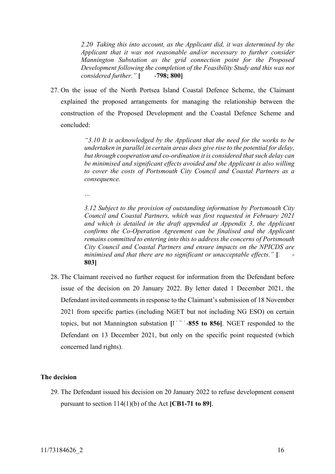*2.20 Taking this into account, as the Applicant did, it was determined by the Applicant that it was not reasonable and/or necessary to further consider Mannington Substation as the grid connection point for the Proposed Development following the completion of the Feasibility Study and this was not considered further.*" [46798; 800]

27. On the issue of the North Portsea Island Coastal Defence Scheme, the Claimant explained the proposed arrangements for managing the relationship between the construction of the Proposed Development and the Coastal Defence Scheme and concluded:

> *"3.10 It is acknowledged by the Applicant that the need for the works to be undertaken in parallel in certain areas does give rise to the potential for delay, but through cooperation and co-ordination it is considered that such delay can be minimised and significant effects avoided and the Applicant is also willing to cover the costs of Portsmouth City Council and Coastal Partners as a consequence.*

*…*

*3.12 Subject to the provision of outstanding information by Portsmouth City Council and Coastal Partners, which was first requested in February 2021 and which is detailed in the draft appended at Appendix 3, the Applicant confirms the Co-Operation Agreement can be finalised and the Applicant remains committed to entering into this to address the concerns of Portsmouth City Council and Coastal Partners and ensure impacts on the NPICDS are minimised and that there are no significant or unacceptable effects.*" [*Netallalong l-***803]**

28. The Claimant received no further request for information from the Defendant before issue of the decision on 20 January 2022. By letter dated 1 December 2021, the Defendant invited comments in response to the Claimant's submission of 18 November 2021 from specific parties (including NGET but not including NG ESO) on certain topics, but not Mannington substation  $[I<sup>-/-</sup>$  855 to 856. NGET responded to the Defendant on 13 December 2021, but only on the specific point requested (which concerned land rights).

## **The decision**

29. The Defendant issued his decision on 20 January 2022 to refuse development consent pursuant to section 114(1)(b) of the Act **[CB1-71 to 89]**.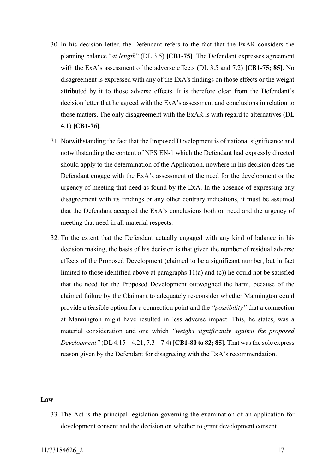- 30. In his decision letter, the Defendant refers to the fact that the ExAR considers the planning balance "*at length*" (DL 3.5) **[CB1-75]**. The Defendant expresses agreement with the ExA's assessment of the adverse effects (DL 3.5 and 7.2) **[CB1-75; 85]**. No disagreement is expressed with any of the ExA's findings on those effects or the weight attributed by it to those adverse effects. It is therefore clear from the Defendant's decision letter that he agreed with the ExA's assessment and conclusions in relation to those matters. The only disagreement with the ExAR is with regard to alternatives (DL 4.1) **[CB1-76]**.
- 31. Notwithstanding the fact that the Proposed Development is of national significance and notwithstanding the content of NPS EN-1 which the Defendant had expressly directed should apply to the determination of the Application, nowhere in his decision does the Defendant engage with the ExA's assessment of the need for the development or the urgency of meeting that need as found by the ExA. In the absence of expressing any disagreement with its findings or any other contrary indications, it must be assumed that the Defendant accepted the ExA's conclusions both on need and the urgency of meeting that need in all material respects.
- 32. To the extent that the Defendant actually engaged with any kind of balance in his decision making, the basis of his decision is that given the number of residual adverse effects of the Proposed Development (claimed to be a significant number, but in fact limited to those identified above at paragraphs  $11(a)$  and  $(c)$ ) he could not be satisfied that the need for the Proposed Development outweighed the harm, because of the claimed failure by the Claimant to adequately re-consider whether Mannington could provide a feasible option for a connection point and the *"possibility"* that a connection at Mannington might have resulted in less adverse impact. This, he states, was a material consideration and one which *"weighs significantly against the proposed Development"* (DL 4.15 – 4.21, 7.3 – 7.4) **[CB1-80 to 82; 85]***.* That was the sole express reason given by the Defendant for disagreeing with the ExA's recommendation.

#### **Law**

33. The Act is the principal legislation governing the examination of an application for development consent and the decision on whether to grant development consent.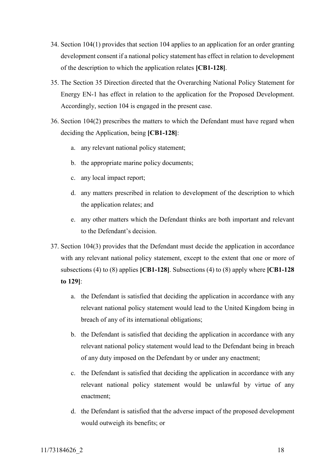- 34. Section 104(1) provides that section 104 applies to an application for an order granting development consent if a national policy statement has effect in relation to development of the description to which the application relates **[CB1-128]**.
- 35. The Section 35 Direction directed that the Overarching National Policy Statement for Energy EN-1 has effect in relation to the application for the Proposed Development. Accordingly, section 104 is engaged in the present case.
- 36. Section 104(2) prescribes the matters to which the Defendant must have regard when deciding the Application, being **[CB1-128]**:
	- a. any relevant national policy statement;
	- b. the appropriate marine policy documents;
	- c. any local impact report;
	- d. any matters prescribed in relation to development of the description to which the application relates; and
	- e. any other matters which the Defendant thinks are both important and relevant to the Defendant's decision.
- 37. Section 104(3) provides that the Defendant must decide the application in accordance with any relevant national policy statement, except to the extent that one or more of subsections (4) to (8) applies **[CB1-128]**. Subsections (4) to (8) apply where **[CB1-128 to 129]**:
	- a. the Defendant is satisfied that deciding the application in accordance with any relevant national policy statement would lead to the United Kingdom being in breach of any of its international obligations;
	- b. the Defendant is satisfied that deciding the application in accordance with any relevant national policy statement would lead to the Defendant being in breach of any duty imposed on the Defendant by or under any enactment;
	- c. the Defendant is satisfied that deciding the application in accordance with any relevant national policy statement would be unlawful by virtue of any enactment;
	- d. the Defendant is satisfied that the adverse impact of the proposed development would outweigh its benefits; or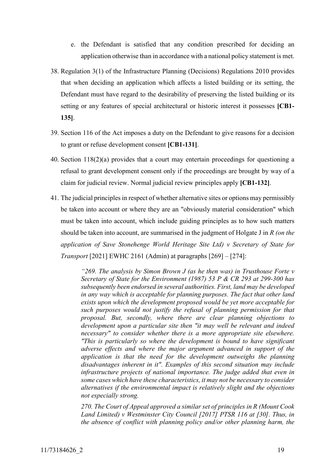- e. the Defendant is satisfied that any condition prescribed for deciding an application otherwise than in accordance with a national policy statement is met.
- 38. Regulation 3(1) of the Infrastructure Planning (Decisions) Regulations 2010 provides that when deciding an application which affects a listed building or its setting, the Defendant must have regard to the desirability of preserving the listed building or its setting or any features of special architectural or historic interest it possesses **[CB1- 135]**.
- 39. Section 116 of the Act imposes a duty on the Defendant to give reasons for a decision to grant or refuse development consent **[CB1-131]**.
- 40. Section 118(2)(a) provides that a court may entertain proceedings for questioning a refusal to grant development consent only if the proceedings are brought by way of a claim for judicial review. Normal judicial review principles apply **[CB1-132]**.
- 41. The judicial principles in respect of whether alternative sites or options may permissibly be taken into account or where they are an "obviously material consideration" which must be taken into account, which include guiding principles as to how such matters should be taken into account, are summarised in the judgment of Holgate J in *R (on the application of Save Stonehenge World Heritage Site Ltd) v Secretary of State for Transport* [2021] EWHC 2161 (Admin) at paragraphs [269] – [274]:

*"269. The analysis by Simon Brown J (as he then was) in Trusthouse Forte v Secretary of State for the Environment (1987) 53 P & CR 293 at 299-300 has subsequently been endorsed in several authorities. First, land may be developed in any way which is acceptable for planning purposes. The fact that other land exists upon which the development proposed would be yet more acceptable for such purposes would not justify the refusal of planning permission for that proposal. But, secondly, where there are clear planning objections to development upon a particular site then "it may well be relevant and indeed necessary" to consider whether there is a more appropriate site elsewhere. "This is particularly so where the development is bound to have significant adverse effects and where the major argument advanced in support of the application is that the need for the development outweighs the planning disadvantages inherent in it". Examples of this second situation may include infrastructure projects of national importance. The judge added that even in some cases which have these characteristics, it may not be necessary to consider alternatives if the environmental impact is relatively slight and the objections not especially strong.*

*270. The Court of Appeal approved a similar set of principles in R (Mount Cook Land Limited) v Westminster City Council [2017] PTSR 116 at [30]. Thus, in the absence of conflict with planning policy and/or other planning harm, the*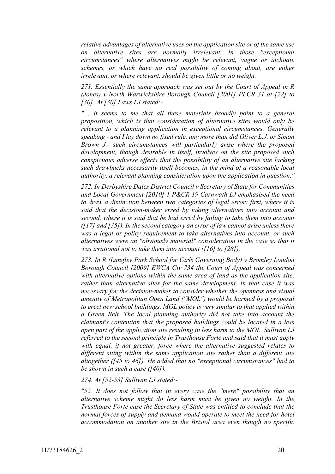*relative advantages of alternative uses on the application site or of the same use on alternative sites are normally irrelevant. In those "exceptional circumstances" where alternatives might be relevant, vague or inchoate schemes, or which have no real possibility of coming about, are either irrelevant, or where relevant, should be given little or no weight.*

*271. Essentially the same approach was set out by the Court of Appeal in R (Jones) v North Warwickshire Borough Council [2001] PLCR 31 at [22] to [30]. At [30] Laws LJ stated:-*

*"… it seems to me that all these materials broadly point to a general proposition, which is that consideration of alternative sites would only be relevant to a planning application in exceptional circumstances. Generally speaking - and I lay down no fixed rule, any more than did Oliver L.J. or Simon Brown J.- such circumstances will particularly arise where the proposed development, though desirable in itself, involves on the site proposed such conspicuous adverse effects that the possibility of an alternative site lacking such drawbacks necessarily itself becomes, in the mind of a reasonable local authority, a relevant planning consideration upon the application in question."*

*272. In Derbyshire Dales District Council v Secretary of State for Communities and Local Government [2010] 1 P&CR 19 Carnwath LJ emphasised the need to draw a distinction between two categories of legal error: first, where it is said that the decision-maker erred by taking alternatives into account and second, where it is said that he had erred by failing to take them into account ([17] and [35]). In the second category an error of law cannot arise unless there was a legal or policy requirement to take alternatives into account, or such alternatives were an "obviously material" consideration in the case so that it was irrational not to take them into account ([16] to [28]).*

*273. In R (Langley Park School for Girls Governing Body) v Bromley London Borough Council [2009] EWCA Civ 734 the Court of Appeal was concerned with alternative options within the same area of land as the application site, rather than alternative sites for the same development. In that case it was necessary for the decision-maker to consider whether the openness and visual amenity of Metropolitan Open Land ("MOL") would be harmed by a proposal to erect new school buildings. MOL policy is very similar to that applied within a Green Belt. The local planning authority did not take into account the claimant's contention that the proposed buildings could be located in a less open part of the application site resulting in less harm to the MOL. Sullivan LJ referred to the second principle in Trusthouse Forte and said that it must apply with equal, if not greater, force where the alternative suggested relates to different siting within the same application site rather than a different site altogether ([45 to 46]). He added that no "exceptional circumstances" had to be shown in such a case ([40]).*

*274. At [52-53] Sullivan LJ stated:-*

*"52. It does not follow that in every case the "mere" possibility that an alternative scheme might do less harm must be given no weight. In the Trusthouse Forte case the Secretary of State was entitled to conclude that the normal forces of supply and demand would operate to meet the need for hotel accommodation on another site in the Bristol area even though no specific*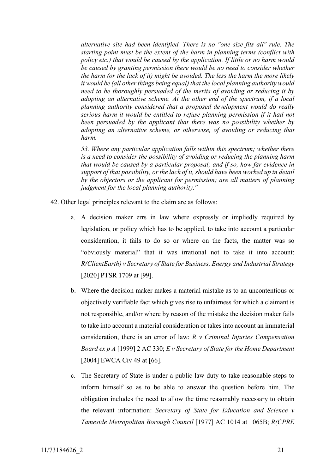*alternative site had been identified. There is no "one size fits all" rule. The starting point must be the extent of the harm in planning terms (conflict with policy etc.) that would be caused by the application. If little or no harm would be caused by granting permission there would be no need to consider whether the harm (or the lack of it) might be avoided. The less the harm the more likely it would be (all other things being equal) that the local planning authority would need to be thoroughly persuaded of the merits of avoiding or reducing it by adopting an alternative scheme. At the other end of the spectrum, if a local planning authority considered that a proposed development would do really serious harm it would be entitled to refuse planning permission if it had not been persuaded by the applicant that there was no possibility whether by adopting an alternative scheme, or otherwise, of avoiding or reducing that harm.*

*53. Where any particular application falls within this spectrum; whether there is a need to consider the possibility of avoiding or reducing the planning harm that would be caused by a particular proposal; and if so, how far evidence in support of that possibility, or the lack of it, should have been worked up in detail by the objectors or the applicant for permission; are all matters of planning judgment for the local planning authority."* 

- 42. Other legal principles relevant to the claim are as follows:
	- a. A decision maker errs in law where expressly or impliedly required by legislation, or policy which has to be applied, to take into account a particular consideration, it fails to do so or where on the facts, the matter was so "obviously material" that it was irrational not to take it into account: *R(ClientEarth) v Secretary of State for Business, Energy and Industrial Strategy* [2020] PTSR 1709 at [99].
	- b. Where the decision maker makes a material mistake as to an uncontentious or objectively verifiable fact which gives rise to unfairness for which a claimant is not responsible, and/or where by reason of the mistake the decision maker fails to take into account a material consideration or takes into account an immaterial consideration, there is an error of law: *R v Criminal Injuries Compensation Board ex p A* [1999] 2 AC 330; *E v Secretary of State for the Home Department* [2004] EWCA Civ 49 at [66].
	- c. The Secretary of State is under a public law duty to take reasonable steps to inform himself so as to be able to answer the question before him. The obligation includes the need to allow the time reasonably necessary to obtain the relevant information: *Secretary of State for Education and Science v Tameside Metropolitan Borough Council* [1977] AC 1014 at 1065B; *R(CPRE*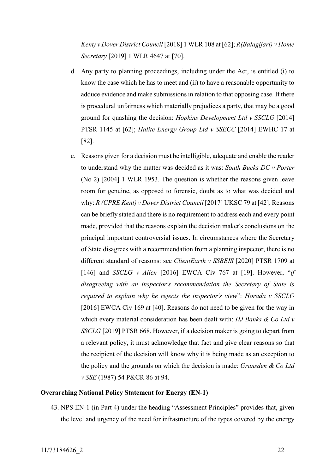*Kent) v Dover District Council* [2018] 1 WLR 108 at [62]; *R(Balagijari) v Home Secretary* [2019] 1 WLR 4647 at [70].

- d. Any party to planning proceedings, including under the Act, is entitled (i) to know the case which he has to meet and (ii) to have a reasonable opportunity to adduce evidence and make submissions in relation to that opposing case. If there is procedural unfairness which materially prejudices a party, that may be a good ground for quashing the decision: *Hopkins Development Ltd v SSCLG* [2014] PTSR 1145 at [62]; *Halite Energy Group Ltd v SSECC* [2014] EWHC 17 at [82].
- e. Reasons given for a decision must be intelligible, adequate and enable the reader to understand why the matter was decided as it was: *South Bucks DC v Porter* (No 2) [2004] 1 WLR 1953. The question is whether the reasons given leave room for genuine, as opposed to forensic, doubt as to what was decided and why: *R (CPRE Kent) v Dover District Council* [2017] UKSC 79 at [42]. Reasons can be briefly stated and there is no requirement to address each and every point made, provided that the reasons explain the decision maker's conclusions on the principal important controversial issues. In circumstances where the Secretary of State disagrees with a recommendation from a planning inspector, there is no different standard of reasons: see *ClientEarth v SSBEIS* [2020] PTSR 1709 at [146] and *SSCLG v Allen* [2016] EWCA Civ 767 at [19]. However, "*if disagreeing with an inspector's recommendation the Secretary of State is required to explain why he rejects the inspector's view*": *Horada v SSCLG*  [2016] EWCA Civ 169 at [40]. Reasons do not need to be given for the way in which every material consideration has been dealt with: *HJ Banks & Co Ltd v SSCLG* [2019] PTSR 668. However, if a decision maker is going to depart from a relevant policy, it must acknowledge that fact and give clear reasons so that the recipient of the decision will know why it is being made as an exception to the policy and the grounds on which the decision is made: *Gransden & Co Ltd v SSE* (1987) 54 P&CR 86 at 94.

### **Overarching National Policy Statement for Energy (EN-1)**

43. NPS EN-1 (in Part 4) under the heading "Assessment Principles" provides that, given the level and urgency of the need for infrastructure of the types covered by the energy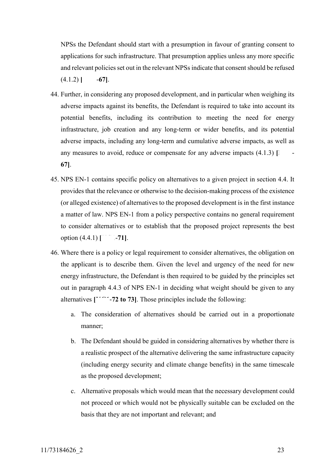NPSs the Defendant should start with a presumption in favour of granting consent to applications for such infrastructure. That presumption applies unless any more specific and relevant policies set out in the relevant NPSs indicate that consent should be refused  $(4.1.2)$  **[Mean**].

- 44. Further, in considering any proposed development, and in particular when weighing its adverse impacts against its benefits, the Defendant is required to take into account its potential benefits, including its contribution to meeting the need for energy infrastructure, job creation and any long-term or wider benefits, and its potential adverse impacts, including any long-term and cumulative adverse impacts, as well as any measures to avoid, reduce or compensate for any adverse impacts  $(4.1.3)$  [ **67]**.
- 45. NPS EN-1 contains specific policy on alternatives to a given project in section 4.4. It provides that the relevance or otherwise to the decision-making process of the existence (or alleged existence) of alternatives to the proposed development is in the first instance a matter of law. NPS EN-1 from a policy perspective contains no general requirement to consider alternatives or to establish that the proposed project represents the best option (4.4.1) **[Which**-71].
- 46. Where there is a policy or legal requirement to consider alternatives, the obligation on the applicant is to describe them. Given the level and urgency of the need for new energy infrastructure, the Defendant is then required to be guided by the principles set out in paragraph 4.4.3 of NPS EN-1 in deciding what weight should be given to any alternatives  $\begin{bmatrix} 1 & -72 \\ 0 & 73 \end{bmatrix}$ . Those principles include the following:
	- a. The consideration of alternatives should be carried out in a proportionate manner;
	- b. The Defendant should be guided in considering alternatives by whether there is a realistic prospect of the alternative delivering the same infrastructure capacity (including energy security and climate change benefits) in the same timescale as the proposed development;
	- c. Alternative proposals which would mean that the necessary development could not proceed or which would not be physically suitable can be excluded on the basis that they are not important and relevant; and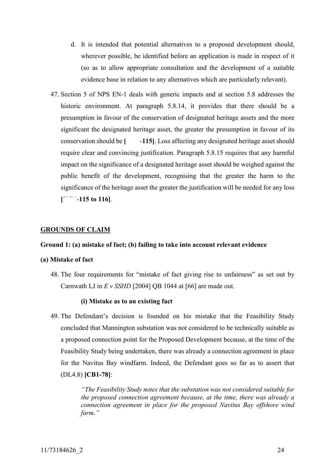- d. It is intended that potential alternatives to a proposed development should, wherever possible, be identified before an application is made in respect of it (so as to allow appropriate consultation and the development of a suitable evidence base in relation to any alternatives which are particularly relevant).
- 47. Section 5 of NPS EN-1 deals with generic impacts and at section 5.8 addresses the historic environment. At paragraph 5.8.14, it provides that there should be a presumption in favour of the conservation of designated heritage assets and the more significant the designated heritage asset, the greater the presumption in favour of its conservation should be **[KG1**-**115]**. Loss affecting any designated heritage asset should require clear and convincing justification. Paragraph 5.8.15 requires that any harmful impact on the significance of a designated heritage asset should be weighed against the public benefit of the development, recognising that the greater the harm to the significance of the heritage asset the greater the justification will be needed for any loss
	- **[KG1**-**115 to 116]**.

## **GROUNDS OF CLAIM**

#### **Ground 1: (a) mistake of fact; (b) failing to take into account relevant evidence**

#### **(a) Mistake of fact**

48. The four requirements for "mistake of fact giving rise to unfairness" as set out by Carnwath LJ in *E v SSHD* [2004] QB 1044 at [66] are made out.

#### **(i) Mistake as to an existing fact**

49. The Defendant's decision is founded on his mistake that the Feasibility Study concluded that Mannington substation was not considered to be technically suitable as a proposed connection point for the Proposed Development because, at the time of the Feasibility Study being undertaken, there was already a connection agreement in place for the Navitus Bay windfarm. Indeed, the Defendant goes so far as to assert that (DL4.8) **[CB1-78]**:

> *"The Feasibility Study notes that the substation was not considered suitable for the proposed connection agreement because, at the time, there was already a connection agreement in place for the proposed Navitus Bay offshore wind farm*.*"*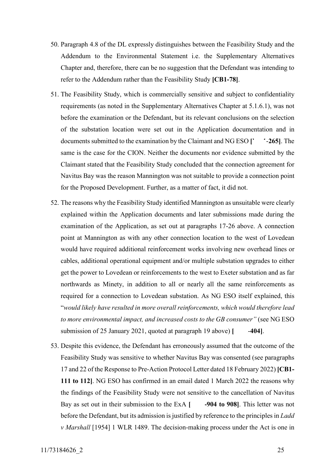- 50. Paragraph 4.8 of the DL expressly distinguishes between the Feasibility Study and the Addendum to the Environmental Statement i.e. the Supplementary Alternatives Chapter and, therefore, there can be no suggestion that the Defendant was intending to refer to the Addendum rather than the Feasibility Study **[CB1-78]**.
- 51. The Feasibility Study, which is commercially sensitive and subject to confidentiality requirements (as noted in the Supplementary Alternatives Chapter at 5.1.6.1), was not before the examination or the Defendant, but its relevant conclusions on the selection of the substation location were set out in the Application documentation and in documents submitted to the examination by the Claimant and NG ESO  $\Gamma$  <sup>-</sup>-265]. The same is the case for the CION. Neither the documents nor evidence submitted by the Claimant stated that the Feasibility Study concluded that the connection agreement for Navitus Bay was the reason Mannington was not suitable to provide a connection point for the Proposed Development. Further, as a matter of fact, it did not.
- 52. The reasons why the Feasibility Study identified Mannington as unsuitable were clearly explained within the Application documents and later submissions made during the examination of the Application, as set out at paragraphs [17](#page-5-0)[-26](#page-14-0) above. A connection point at Mannington as with any other connection location to the west of Lovedean would have required additional reinforcement works involving new overhead lines or cables, additional operational equipment and/or multiple substation upgrades to either get the power to Lovedean or reinforcements to the west to Exeter substation and as far northwards as Minety, in addition to all or nearly all the same reinforcements as required for a connection to Lovedean substation. As NG ESO itself explained, this "*would likely have resulted in more overall reinforcements, which would therefore lead to more environmental impact, and increased costs to the GB consumer"* (see NG ESO submission of 25 January 2021, quoted at paragraph [19](#page-10-0) above) [404].
- 53. Despite this evidence, the Defendant has erroneously assumed that the outcome of the Feasibility Study was sensitive to whether Navitus Bay was consented (see paragraphs 17 and 22 of the Response to Pre-Action Protocol Letter dated 18 February 2022) **[CB1- 111 to 112]**. NG ESO has confirmed in an email dated 1 March 2022 the reasons why the findings of the Feasibility Study were not sensitive to the cancellation of Navitus Bay as set out in their submission to the ExA **[4004 to 908]**. This letter was not before the Defendant, but its admission is justified by reference to the principles in *Ladd v Marshall* [1954] 1 WLR 1489. The decision-making process under the Act is one in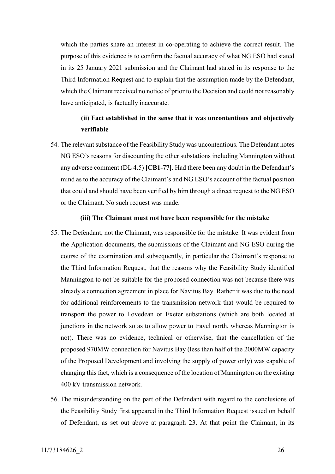which the parties share an interest in co-operating to achieve the correct result. The purpose of this evidence is to confirm the factual accuracy of what NG ESO had stated in its 25 January 2021 submission and the Claimant had stated in its response to the Third Information Request and to explain that the assumption made by the Defendant, which the Claimant received no notice of prior to the Decision and could not reasonably have anticipated, is factually inaccurate.

## **(ii) Fact established in the sense that it was uncontentious and objectively verifiable**

54. The relevant substance of the Feasibility Study was uncontentious. The Defendant notes NG ESO's reasons for discounting the other substations including Mannington without any adverse comment (DL 4.5) **[CB1-77]**. Had there been any doubt in the Defendant's mind as to the accuracy of the Claimant's and NG ESO's account of the factual position that could and should have been verified by him through a direct request to the NG ESO or the Claimant. No such request was made.

#### **(iii) The Claimant must not have been responsible for the mistake**

- 55. The Defendant, not the Claimant, was responsible for the mistake. It was evident from the Application documents, the submissions of the Claimant and NG ESO during the course of the examination and subsequently, in particular the Claimant's response to the Third Information Request, that the reasons why the Feasibility Study identified Mannington to not be suitable for the proposed connection was not because there was already a connection agreement in place for Navitus Bay. Rather it was due to the need for additional reinforcements to the transmission network that would be required to transport the power to Lovedean or Exeter substations (which are both located at junctions in the network so as to allow power to travel north, whereas Mannington is not). There was no evidence, technical or otherwise, that the cancellation of the proposed 970MW connection for Navitus Bay (less than half of the 2000MW capacity of the Proposed Development and involving the supply of power only) was capable of changing this fact, which is a consequence of the location of Mannington on the existing 400 kV transmission network.
- 56. The misunderstanding on the part of the Defendant with regard to the conclusions of the Feasibility Study first appeared in the Third Information Request issued on behalf of Defendant, as set out above at paragraph [23.](#page-12-0) At that point the Claimant, in its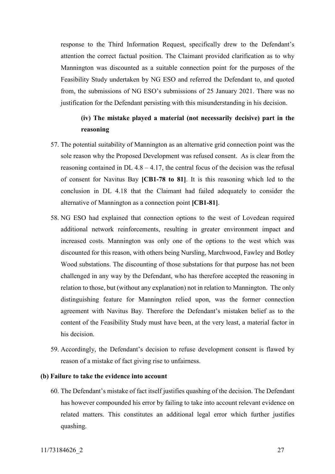response to the Third Information Request, specifically drew to the Defendant's attention the correct factual position. The Claimant provided clarification as to why Mannington was discounted as a suitable connection point for the purposes of the Feasibility Study undertaken by NG ESO and referred the Defendant to, and quoted from, the submissions of NG ESO's submissions of 25 January 2021. There was no justification for the Defendant persisting with this misunderstanding in his decision.

## **(iv) The mistake played a material (not necessarily decisive) part in the reasoning**

- 57. The potential suitability of Mannington as an alternative grid connection point was the sole reason why the Proposed Development was refused consent. As is clear from the reasoning contained in  $DL$  4.8 – 4.17, the central focus of the decision was the refusal of consent for Navitus Bay **[CB1-78 to 81]**. It is this reasoning which led to the conclusion in DL 4.18 that the Claimant had failed adequately to consider the alternative of Mannington as a connection point **[CB1-81]**.
- <span id="page-26-0"></span>58. NG ESO had explained that connection options to the west of Lovedean required additional network reinforcements, resulting in greater environment impact and increased costs. Mannington was only one of the options to the west which was discounted for this reason, with others being Nursling, Marchwood, Fawley and Botley Wood substations. The discounting of those substations for that purpose has not been challenged in any way by the Defendant, who has therefore accepted the reasoning in relation to those, but (without any explanation) not in relation to Mannington. The only distinguishing feature for Mannington relied upon, was the former connection agreement with Navitus Bay. Therefore the Defendant's mistaken belief as to the content of the Feasibility Study must have been, at the very least, a material factor in his decision.
- 59. Accordingly, the Defendant's decision to refuse development consent is flawed by reason of a mistake of fact giving rise to unfairness.

## **(b) Failure to take the evidence into account**

60. The Defendant's mistake of fact itself justifies quashing of the decision. The Defendant has however compounded his error by failing to take into account relevant evidence on related matters. This constitutes an additional legal error which further justifies quashing.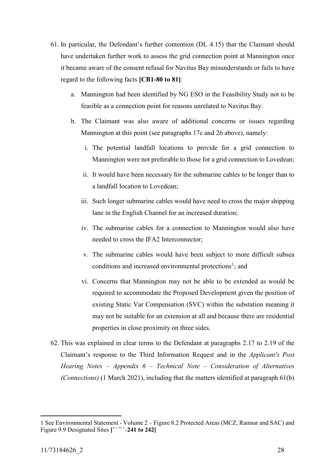- 61. In particular, the Defendant's further contention (DL 4.15) that the Claimant should have undertaken further work to assess the grid connection point at Mannington once it became aware of the consent refusal for Navitus Bay misunderstands or fails to have regard to the following facts **[CB1-80 to 81]**:
	- a. Mannington had been identified by NG ESO in the Feasibility Study not to be feasible as a connection point for reasons unrelated to Navitus Bay.
	- b. The Claimant was also aware of additional concerns or issues regarding Mannington at this point (see paragraphs 17c and 26 above), namely:
		- i. The potential landfall locations to provide for a grid connection to Mannington were not preferable to those for a grid connection to Lovedean;
		- ii. It would have been necessary for the submarine cables to be longer than to a landfall location to Lovedean;
		- iii. Such longer submarine cables would have need to cross the major shipping lane in the English Channel for an increased duration;
		- iv. The submarine cables for a connection to Mannington would also have needed to cross the IFA2 Interconnector;
		- v. The submarine cables would have been subject to more difficult subsea conditions and increased environmental protections<sup>1</sup>; and
		- vi. Concerns that Mannington may not be able to be extended as would be required to accommodate the Proposed Development given the position of existing Static Var Compensation (SVC) within the substation meaning it may not be suitable for an extension at all and because there are residential properties in close proximity on three sides.
- 62. This was explained in clear terms to the Defendant at paragraphs 2.17 to 2.19 of the Claimant's response to the Third Information Request and in the *Applicant's Post Hearing Notes – Appendix 6 – Technical Note – Consideration of Alternatives (Connections)* (1 March 2021), including that the matters identified at paragraph 61(b)

<u>.</u>

<sup>1</sup> See Environmental Statement - Volume 2 – Figure 8.2 Protected Areas (MCZ, Ramsar and SAC) and Figure 9.9 Designated Sites  $\begin{bmatrix} 1 & -241 & 10 & 242 \end{bmatrix}$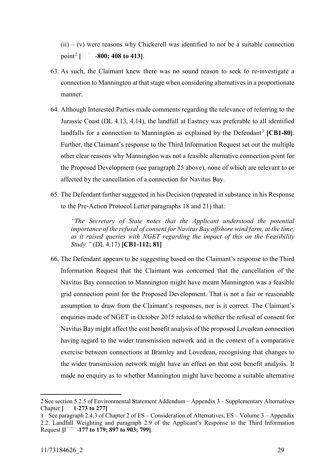$(ii) - (v)$  were reasons why Chickerell was identified to not be a suitable connection point<sup>2</sup> |  $-800$ ; 408 to 413].

- 63. As such, the Claimant knew there was no sound reason to seek to re-investigate a connection to Mannington at that stage when considering alternatives in a proportionate manner.
- 64. Although Interested Parties made comments regarding the relevance of referring to the Jurassic Coast (DL 4.13, 4.14), the landfall at Eastney was preferable to all identified landfalls for a connection to Mannington as explained by the Defendant<sup>3</sup> [CB1-80]. Further, the Claimant's response to the Third Information Request set out the multiple other clear reasons why Mannington was not a feasible alternative connection point for the Proposed Development (see paragraph 25 above), none of which are relevant to or affected by the cancellation of a connection for Navitus Bay.
- 65. The Defendant further suggested in his Decision (repeated in substance in his Response to the Pre-Action Protocol Letter paragraphs 18 and 21) that:

*"The Secretary of State notes that the Applicant understood the potential importance of the refusal of consent for Navitus Bay offshore wind farm, at the time, as it raised queries with NGET regarding the impact of this on the Feasibility Study."* (DL 4.17) **[CB1-112; 81]**

66. The Defendant appears to be suggesting based on the Claimant's response to the Third Information Request that the Claimant was concerned that the cancellation of the Navitus Bay connection to Mannington might have meant Mannington was a feasible grid connection point for the Proposed Development. That is not a fair or reasonable assumption to draw from the Claimant's responses, nor is it correct. The Claimant's enquiries made of NGET in October 2015 related to whether the refusal of consent for Navitus Bay might affect the cost benefit analysis of the proposed Lovedean connection having regard to the wider transmission network and in the context of a comparative exercise between connections at Bramley and Lovedean, recognising that changes to the wider transmission network might have an effect on that cost benefit analysis. It made no enquiry as to whether Mannington might have become a suitable alternative

<u>.</u>

<sup>2</sup> See section 5.2.5 of Environmental Statement Addendum – Appendix 3 – Supplementary Alternatives Chapter **[KG1**-**273 to 277]**

<sup>3</sup> See paragraph 2.4.3 of Chapter 2 of ES – Consideration of Alternatives, ES – Volume 3 – Appendix 2.2. Landfall Weighting and paragraph 2.9 of the Applicant's Response to the Third Information Request **[KG1**-**177 to 179; 897 to 903; 799]**.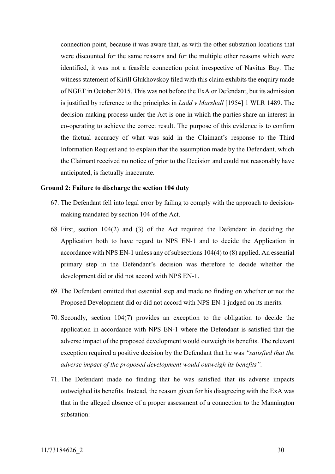connection point, because it was aware that, as with the other substation locations that were discounted for the same reasons and for the multiple other reasons which were identified, it was not a feasible connection point irrespective of Navitus Bay. The witness statement of Kirill Glukhovskoy filed with this claim exhibits the enquiry made of NGET in October 2015. This was not before the ExA or Defendant, but its admission is justified by reference to the principles in *Ladd v Marshall* [1954] 1 WLR 1489. The decision-making process under the Act is one in which the parties share an interest in co-operating to achieve the correct result. The purpose of this evidence is to confirm the factual accuracy of what was said in the Claimant's response to the Third Information Request and to explain that the assumption made by the Defendant, which the Claimant received no notice of prior to the Decision and could not reasonably have anticipated, is factually inaccurate.

#### **Ground 2: Failure to discharge the section 104 duty**

- 67. The Defendant fell into legal error by failing to comply with the approach to decisionmaking mandated by section 104 of the Act.
- 68. First, section 104(2) and (3) of the Act required the Defendant in deciding the Application both to have regard to NPS EN-1 and to decide the Application in accordance with NPS EN-1 unless any of subsections 104(4) to (8) applied. An essential primary step in the Defendant's decision was therefore to decide whether the development did or did not accord with NPS EN-1.
- 69. The Defendant omitted that essential step and made no finding on whether or not the Proposed Development did or did not accord with NPS EN-1 judged on its merits.
- 70. Secondly, section 104(7) provides an exception to the obligation to decide the application in accordance with NPS EN-1 where the Defendant is satisfied that the adverse impact of the proposed development would outweigh its benefits. The relevant exception required a positive decision by the Defendant that he was *"satisfied that the adverse impact of the proposed development would outweigh its benefits".*
- 71. The Defendant made no finding that he was satisfied that its adverse impacts outweighed its benefits. Instead, the reason given for his disagreeing with the ExA was that in the alleged absence of a proper assessment of a connection to the Mannington substation: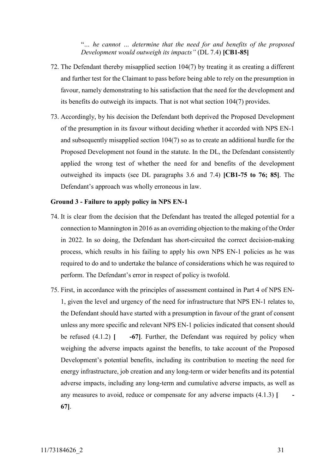"*… he cannot … determine that the need for and benefits of the proposed Development would outweigh its impacts"* (DL 7.4) **[CB1-85]**

- 72. The Defendant thereby misapplied section 104(7) by treating it as creating a different and further test for the Claimant to pass before being able to rely on the presumption in favour, namely demonstrating to his satisfaction that the need for the development and its benefits do outweigh its impacts. That is not what section 104(7) provides.
- 73. Accordingly, by his decision the Defendant both deprived the Proposed Development of the presumption in its favour without deciding whether it accorded with NPS EN-1 and subsequently misapplied section 104(7) so as to create an additional hurdle for the Proposed Development not found in the statute. In the DL, the Defendant consistently applied the wrong test of whether the need for and benefits of the development outweighed its impacts (see DL paragraphs 3.6 and 7.4) **[CB1-75 to 76; 85]**. The Defendant's approach was wholly erroneous in law.

#### **Ground 3 - Failure to apply policy in NPS EN-1**

- 74. It is clear from the decision that the Defendant has treated the alleged potential for a connection to Mannington in 2016 as an overriding objection to the making of the Order in 2022. In so doing, the Defendant has short-circuited the correct decision-making process, which results in his failing to apply his own NPS EN-1 policies as he was required to do and to undertake the balance of considerations which he was required to perform. The Defendant's error in respect of policy is twofold.
- <span id="page-30-0"></span>75. First, in accordance with the principles of assessment contained in Part 4 of NPS EN-1, given the level and urgency of the need for infrastructure that NPS EN-1 relates to, the Defendant should have started with a presumption in favour of the grant of consent unless any more specific and relevant NPS EN-1 policies indicated that consent should be refused  $(4.1.2)$   $\begin{bmatrix} -67 \end{bmatrix}$ . Further, the Defendant was required by policy when weighing the adverse impacts against the benefits, to take account of the Proposed Development's potential benefits, including its contribution to meeting the need for energy infrastructure, job creation and any long-term or wider benefits and its potential adverse impacts, including any long-term and cumulative adverse impacts, as well as any measures to avoid, reduce or compensate for any adverse impacts  $(4.1.3)$ **67]**.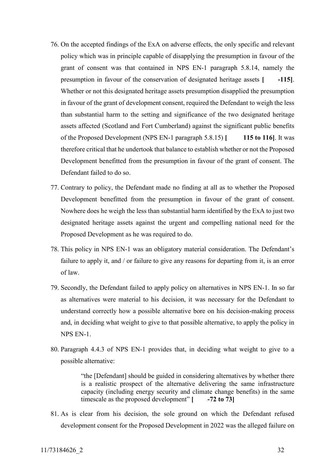- 76. On the accepted findings of the ExA on adverse effects, the only specific and relevant policy which was in principle capable of disapplying the presumption in favour of the grant of consent was that contained in NPS EN-1 paragraph 5.8.14, namely the presumption in favour of the conservation of designated heritage assets [AG1-115]. Whether or not this designated heritage assets presumption disapplied the presumption in favour of the grant of development consent, required the Defendant to weigh the less than substantial harm to the setting and significance of the two designated heritage assets affected (Scotland and Fort Cumberland) against the significant public benefits of the Proposed Development (NPS EN-1 paragraph  $5.8.15$ )  $\lceil \ \ \ \ \ \ \ \ \ \ 115$  to 116. It was therefore critical that he undertook that balance to establish whether or not the Proposed Development benefitted from the presumption in favour of the grant of consent. The Defendant failed to do so.
- 77. Contrary to policy, the Defendant made no finding at all as to whether the Proposed Development benefitted from the presumption in favour of the grant of consent. Nowhere does he weigh the less than substantial harm identified by the ExA to just two designated heritage assets against the urgent and compelling national need for the Proposed Development as he was required to do.
- <span id="page-31-0"></span>78. This policy in NPS EN-1 was an obligatory material consideration. The Defendant's failure to apply it, and / or failure to give any reasons for departing from it, is an error of law.
- 79. Secondly, the Defendant failed to apply policy on alternatives in NPS EN-1. In so far as alternatives were material to his decision, it was necessary for the Defendant to understand correctly how a possible alternative bore on his decision-making process and, in deciding what weight to give to that possible alternative, to apply the policy in NPS EN-1.
- 80. Paragraph 4.4.3 of NPS EN-1 provides that, in deciding what weight to give to a possible alternative:

"the [Defendant] should be guided in considering alternatives by whether there is a realistic prospect of the alternative delivering the same infrastructure capacity (including energy security and climate change benefits) in the same timescale as the proposed development"  $\begin{bmatrix} -72 & \text{to } 73 \end{bmatrix}$ 

<span id="page-31-1"></span>81. As is clear from his decision, the sole ground on which the Defendant refused development consent for the Proposed Development in 2022 was the alleged failure on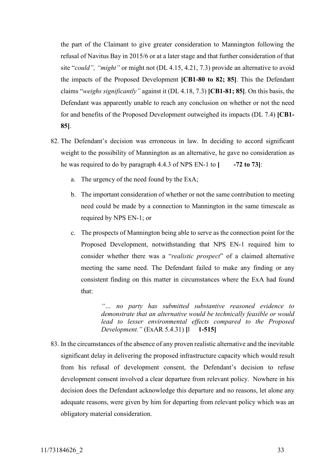the part of the Claimant to give greater consideration to Mannington following the refusal of Navitus Bay in 2015/6 or at a later stage and that further consideration of that site "*could", "might"* or might not (DL 4.15, 4.21, 7.3) provide an alternative to avoid the impacts of the Proposed Development **[CB1-80 to 82; 85]**. This the Defendant claims "*weighs significantly"* against it (DL 4.18, 7.3) **[CB1-81; 85]**. On this basis, the Defendant was apparently unable to reach any conclusion on whether or not the need for and benefits of the Proposed Development outweighed its impacts (DL 7.4) **[CB1- 85]**.

- 82. The Defendant's decision was erroneous in law. In deciding to accord significant weight to the possibility of Mannington as an alternative, he gave no consideration as he was required to do by paragraph  $4.4.3$  of NPS EN-1 to  $\vert$  -72 to 73]:
	- a. The urgency of the need found by the ExA;
	- b. The important consideration of whether or not the same contribution to meeting need could be made by a connection to Mannington in the same timescale as required by NPS EN-1; or
	- c. The prospects of Mannington being able to serve as the connection point for the Proposed Development, notwithstanding that NPS EN-1 required him to consider whether there was a "*realistic prospect*" of a claimed alternative meeting the same need. The Defendant failed to make any finding or any consistent finding on this matter in circumstances where the ExA had found that:

*"… no party has submitted substantive reasoned evidence to demonstrate that an alternative would be technically feasible or would lead to lesser environmental effects compared to the Proposed Development.*" (ExAR 5.4.31) [1 **1-515**]

<span id="page-32-0"></span>83. In the circumstances of the absence of any proven realistic alternative and the inevitable significant delay in delivering the proposed infrastructure capacity which would result from his refusal of development consent, the Defendant's decision to refuse development consent involved a clear departure from relevant policy. Nowhere in his decision does the Defendant acknowledge this departure and no reasons, let alone any adequate reasons, were given by him for departing from relevant policy which was an obligatory material consideration.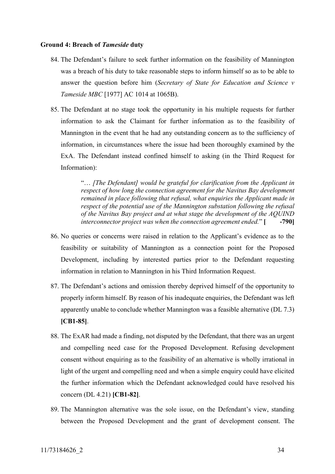#### **Ground 4: Breach of** *Tameside* **duty**

- 84. The Defendant's failure to seek further information on the feasibility of Mannington was a breach of his duty to take reasonable steps to inform himself so as to be able to answer the question before him (*Secretary of State for Education and Science v Tameside MBC* [1977] AC 1014 at 1065B).
- 85. The Defendant at no stage took the opportunity in his multiple requests for further information to ask the Claimant for further information as to the feasibility of Mannington in the event that he had any outstanding concern as to the sufficiency of information, in circumstances where the issue had been thoroughly examined by the ExA. The Defendant instead confined himself to asking (in the Third Request for Information):

"… *[The Defendant] would be grateful for clarification from the Applicant in respect of how long the connection agreement for the Navitus Bay development remained in place following that refusal, what enquiries the Applicant made in respect of the potential use of the Mannington substation following the refusal of the Navitus Bay project and at what stage the development of the AQUIND interconnector project was when the connection agreement ended.*" [1864-790]

- 86. No queries or concerns were raised in relation to the Applicant's evidence as to the feasibility or suitability of Mannington as a connection point for the Proposed Development, including by interested parties prior to the Defendant requesting information in relation to Mannington in his Third Information Request.
- 87. The Defendant's actions and omission thereby deprived himself of the opportunity to properly inform himself. By reason of his inadequate enquiries, the Defendant was left apparently unable to conclude whether Mannington was a feasible alternative (DL 7.3) **[CB1-85]**.
- 88. The ExAR had made a finding, not disputed by the Defendant, that there was an urgent and compelling need case for the Proposed Development. Refusing development consent without enquiring as to the feasibility of an alternative is wholly irrational in light of the urgent and compelling need and when a simple enquiry could have elicited the further information which the Defendant acknowledged could have resolved his concern (DL 4.21) **[CB1-82]**.
- 89. The Mannington alternative was the sole issue, on the Defendant's view, standing between the Proposed Development and the grant of development consent. The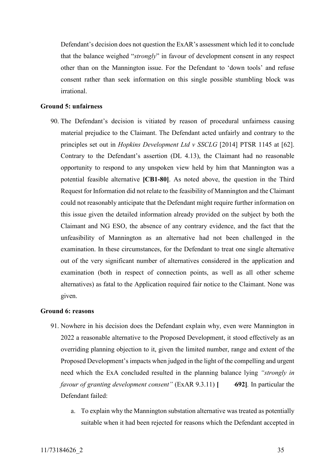Defendant's decision does not question the ExAR's assessment which led it to conclude that the balance weighed "*strongly*" in favour of development consent in any respect other than on the Mannington issue. For the Defendant to 'down tools' and refuse consent rather than seek information on this single possible stumbling block was irrational.

#### **Ground 5: unfairness**

90. The Defendant's decision is vitiated by reason of procedural unfairness causing material prejudice to the Claimant. The Defendant acted unfairly and contrary to the principles set out in *Hopkins Development Ltd v SSCLG* [2014] PTSR 1145 at [62]. Contrary to the Defendant's assertion (DL 4.13), the Claimant had no reasonable opportunity to respond to any unspoken view held by him that Mannington was a potential feasible alternative **[CB1-80]**. As noted above, the question in the Third Request for Information did not relate to the feasibility of Mannington and the Claimant could not reasonably anticipate that the Defendant might require further information on this issue given the detailed information already provided on the subject by both the Claimant and NG ESO, the absence of any contrary evidence, and the fact that the unfeasibility of Mannington as an alternative had not been challenged in the examination. In these circumstances, for the Defendant to treat one single alternative out of the very significant number of alternatives considered in the application and examination (both in respect of connection points, as well as all other scheme alternatives) as fatal to the Application required fair notice to the Claimant. None was given.

#### **Ground 6: reasons**

- 91. Nowhere in his decision does the Defendant explain why, even were Mannington in 2022 a reasonable alternative to the Proposed Development, it stood effectively as an overriding planning objection to it, given the limited number, range and extent of the Proposed Development's impacts when judged in the light of the compelling and urgent need which the ExA concluded resulted in the planning balance lying *"strongly in favour of granting development consent*" (ExAR 9.3.11) [ 692]. In particular the Defendant failed:
	- a. To explain why the Mannington substation alternative was treated as potentially suitable when it had been rejected for reasons which the Defendant accepted in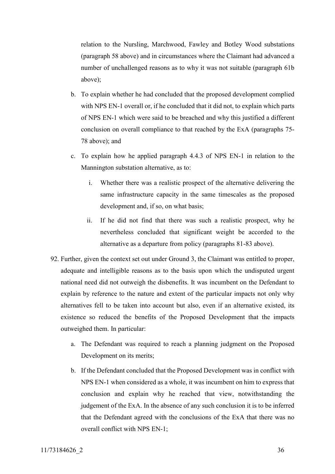relation to the Nursling, Marchwood, Fawley and Botley Wood substations (paragraph [58](#page-26-0) above) and in circumstances where the Claimant had advanced a number of unchallenged reasons as to why it was not suitable (paragraph 61b above);

- b. To explain whether he had concluded that the proposed development complied with NPS EN-1 overall or, if he concluded that it did not, to explain which parts of NPS EN-1 which were said to be breached and why this justified a different conclusion on overall compliance to that reached by the ExA (paragraphs [75-](#page-30-0) [78](#page-31-0) above); and
- c. To explain how he applied paragraph 4.4.3 of NPS EN-1 in relation to the Mannington substation alternative, as to:
	- i. Whether there was a realistic prospect of the alternative delivering the same infrastructure capacity in the same timescales as the proposed development and, if so, on what basis;
	- ii. If he did not find that there was such a realistic prospect, why he nevertheless concluded that significant weight be accorded to the alternative as a departure from policy (paragraphs [81-](#page-31-1)[83](#page-32-0) above).
- 92. Further, given the context set out under Ground 3, the Claimant was entitled to proper, adequate and intelligible reasons as to the basis upon which the undisputed urgent national need did not outweigh the disbenefits. It was incumbent on the Defendant to explain by reference to the nature and extent of the particular impacts not only why alternatives fell to be taken into account but also, even if an alternative existed, its existence so reduced the benefits of the Proposed Development that the impacts outweighed them. In particular:
	- a. The Defendant was required to reach a planning judgment on the Proposed Development on its merits;
	- b. If the Defendant concluded that the Proposed Development was in conflict with NPS EN-1 when considered as a whole, it was incumbent on him to express that conclusion and explain why he reached that view, notwithstanding the judgement of the ExA. In the absence of any such conclusion it is to be inferred that the Defendant agreed with the conclusions of the ExA that there was no overall conflict with NPS EN-1;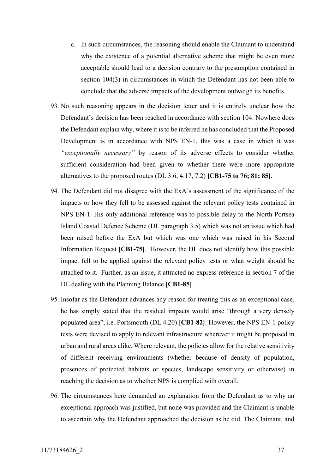- c. In such circumstances, the reasoning should enable the Claimant to understand why the existence of a potential alternative scheme that might be even more acceptable should lead to a decision contrary to the presumption contained in section 104(3) in circumstances in which the Defendant has not been able to conclude that the adverse impacts of the development outweigh its benefits.
- 93. No such reasoning appears in the decision letter and it is entirely unclear how the Defendant's decision has been reached in accordance with section 104. Nowhere does the Defendant explain why, where it is to be inferred he has concluded that the Proposed Development is in accordance with NPS EN-1, this was a case in which it was *"exceptionally necessary"* by reason of its adverse effects to consider whether sufficient consideration had been given to whether there were more appropriate alternatives to the proposed routes (DL 3.6, 4.17, 7.2) **[CB1-75 to 76; 81; 85]**.
- 94. The Defendant did not disagree with the ExA's assessment of the significance of the impacts or how they fell to be assessed against the relevant policy tests contained in NPS EN-1. His only additional reference was to possible delay to the North Portsea Island Coastal Defence Scheme (DL paragraph 3.5) which was not an issue which had been raised before the ExA but which was one which was raised in his Second Information Request **[CB1-75]**. However, the DL does not identify how this possible impact fell to be applied against the relevant policy tests or what weight should be attached to it. Further, as an issue, it attracted no express reference in section 7 of the DL dealing with the Planning Balance **[CB1-85]**.
- 95. Insofar as the Defendant advances any reason for treating this as an exceptional case, he has simply stated that the residual impacts would arise "through a very densely populated area", i.e. Portsmouth (DL 4.20) **[CB1-82]**. However, the NPS EN-1 policy tests were devised to apply to relevant infrastructure wherever it might be proposed in urban and rural areas alike. Where relevant, the policies allow for the relative sensitivity of different receiving environments (whether because of density of population, presences of protected habitats or species, landscape sensitivity or otherwise) in reaching the decision as to whether NPS is complied with overall.
- 96. The circumstances here demanded an explanation from the Defendant as to why an exceptional approach was justified, but none was provided and the Claimant is unable to ascertain why the Defendant approached the decision as he did. The Claimant, and